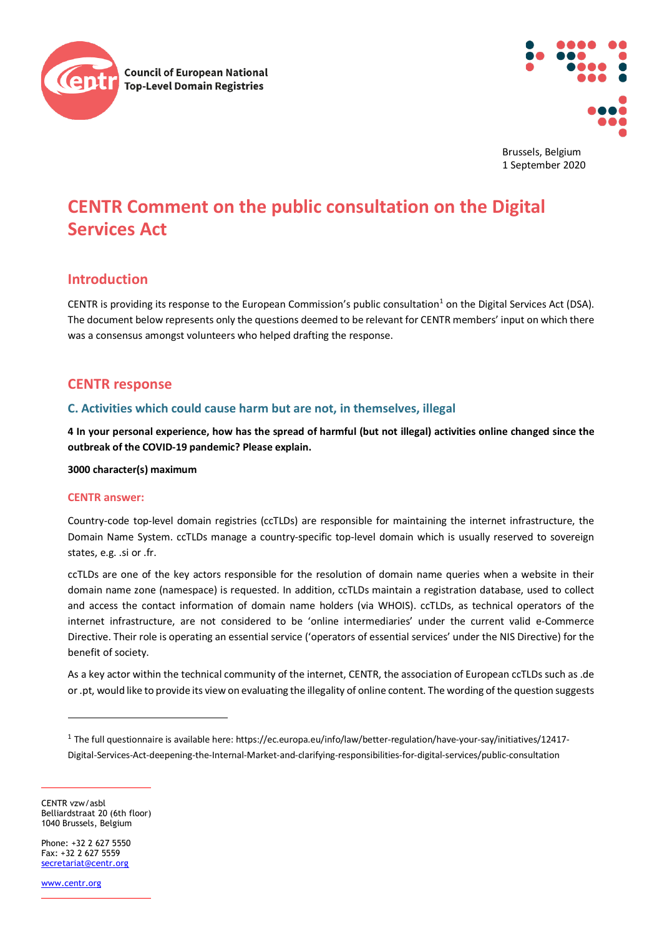



Brussels, Belgium 1 September 2020

# **CENTR Comment on the public consultation on the Digital Services Act**

# **Introduction**

CENTR is providing its response to the European Commission's public consultation<sup>[1](#page-0-0)</sup> on the Digital Services Act (DSA). The document below represents only the questions deemed to be relevant for CENTR members' input on which there was a consensus amongst volunteers who helped drafting the response.

# **CENTR response**

# **C. Activities which could cause harm but are not, in themselves, illegal**

**4 In your personal experience, how has the spread of harmful (but not illegal) activities online changed since the outbreak of the COVID-19 pandemic? Please explain.**

**3000 character(s) maximum**

### **CENTR answer:**

Country-code top-level domain registries (ccTLDs) are responsible for maintaining the internet infrastructure, the Domain Name System. ccTLDs manage a country-specific top-level domain which is usually reserved to sovereign states, e.g. .si or .fr.

ccTLDs are one of the key actors responsible for the resolution of domain name queries when a website in their domain name zone (namespace) is requested. In addition, ccTLDs maintain a registration database, used to collect and access the contact information of domain name holders (via WHOIS). ccTLDs, as technical operators of the internet infrastructure, are not considered to be 'online intermediaries' under the current valid e-Commerce Directive. Their role is operating an essential service ('operators of essential services' under the NIS Directive) for the benefit of society.

As a key actor within the technical community of the internet, CENTR, the association of European ccTLDs such as .de or .pt, would like to provide its view on evaluating the illegality of online content. The wording of the question suggests

CENTR vzw/asbl Belliardstraat 20 (6th floor) 1040 Brussels, Belgium

Phone: +32 2 627 5550  $Fay: +32, 2, 627, 5559$ [secretariat@centr.org](mailto:secretariat@centr.org)

[www.centr.org](http://www.centr.org/)

<span id="page-0-0"></span><sup>1</sup> The full questionnaire is available here: https://ec.europa.eu/info/law/better-regulation/have-your-say/initiatives/12417- Digital-Services-Act-deepening-the-Internal-Market-and-clarifying-responsibilities-for-digital-services/public-consultation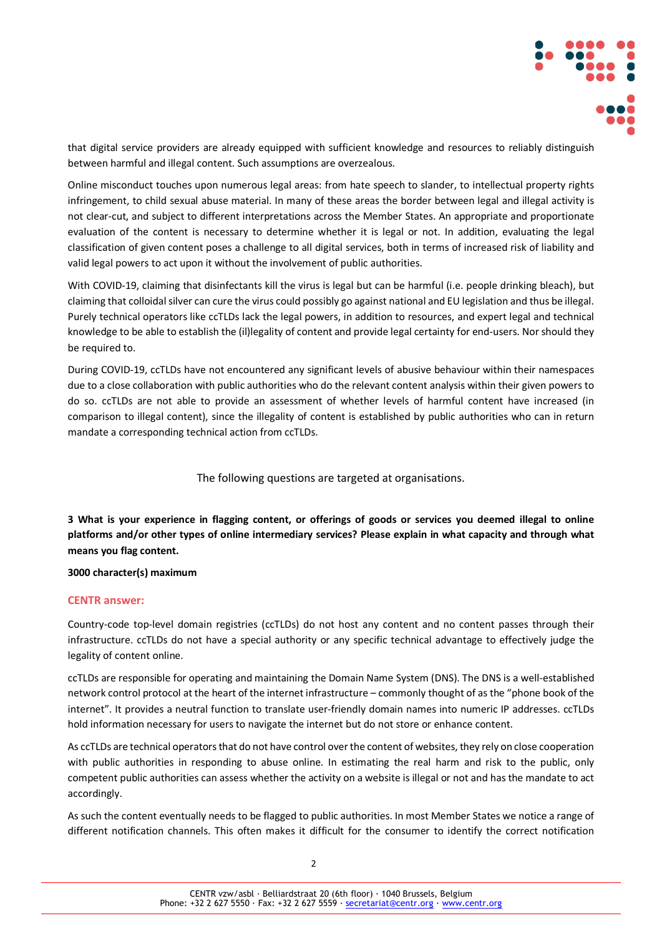

that digital service providers are already equipped with sufficient knowledge and resources to reliably distinguish between harmful and illegal content. Such assumptions are overzealous.

Online misconduct touches upon numerous legal areas: from hate speech to slander, to intellectual property rights infringement, to child sexual abuse material. In many of these areas the border between legal and illegal activity is not clear-cut, and subject to different interpretations across the Member States. An appropriate and proportionate evaluation of the content is necessary to determine whether it is legal or not. In addition, evaluating the legal classification of given content poses a challenge to all digital services, both in terms of increased risk of liability and valid legal powers to act upon it without the involvement of public authorities.

With COVID-19, claiming that disinfectants kill the virus is legal but can be harmful (i.e. people drinking bleach), but claiming that colloidal silver can cure the virus could possibly go against national and EU legislation and thus be illegal. Purely technical operators like ccTLDs lack the legal powers, in addition to resources, and expert legal and technical knowledge to be able to establish the (il)legality of content and provide legal certainty for end-users. Nor should they be required to.

During COVID-19, ccTLDs have not encountered any significant levels of abusive behaviour within their namespaces due to a close collaboration with public authorities who do the relevant content analysis within their given powers to do so. ccTLDs are not able to provide an assessment of whether levels of harmful content have increased (in comparison to illegal content), since the illegality of content is established by public authorities who can in return mandate a corresponding technical action from ccTLDs.

The following questions are targeted at organisations.

**3 What is your experience in flagging content, or offerings of goods or services you deemed illegal to online platforms and/or other types of online intermediary services? Please explain in what capacity and through what means you flag content.**

### **3000 character(s) maximum**

### **CENTR answer:**

Country-code top-level domain registries (ccTLDs) do not host any content and no content passes through their infrastructure. ccTLDs do not have a special authority or any specific technical advantage to effectively judge the legality of content online.

ccTLDs are responsible for operating and maintaining the Domain Name System (DNS). The DNS is a well-established network control protocol at the heart of the internet infrastructure – commonly thought of as the "phone book of the internet". It provides a neutral function to translate user-friendly domain names into numeric IP addresses. ccTLDs hold information necessary for users to navigate the internet but do not store or enhance content.

As ccTLDs are technical operators that do not have control over the content of websites, they rely on close cooperation with public authorities in responding to abuse online. In estimating the real harm and risk to the public, only competent public authorities can assess whether the activity on a website is illegal or not and has the mandate to act accordingly.

As such the content eventually needs to be flagged to public authorities. In most Member States we notice a range of different notification channels. This often makes it difficult for the consumer to identify the correct notification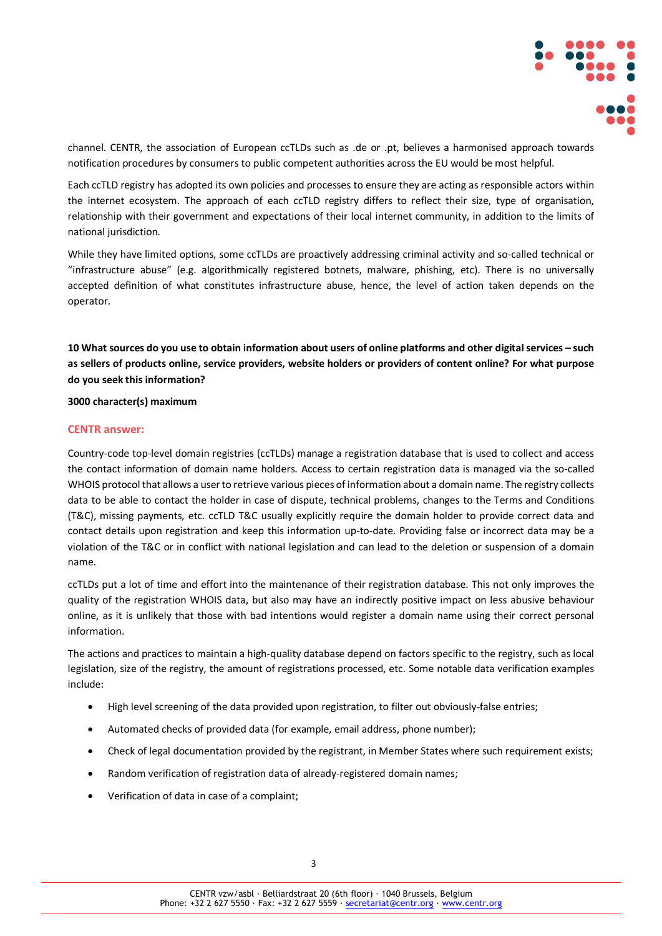

channel. CENTR, the association of European ccTLDs such as .de or .pt, believes a harmonised approach towards notification procedures by consumers to public competent authorities across the EU would be most helpful.

Each ccTLD registry has adopted its own policies and processes to ensure they are acting as responsible actors within the internet ecosystem. The approach of each ccTLD registry differs to reflect their size, type of organisation, relationship with their government and expectations of their local internet community, in addition to the limits of national jurisdiction.

While they have limited options, some ccTLDs are proactively addressing criminal activity and so-called technical or "infrastructure abuse" (e.g. algorithmically registered botnets, malware, phishing, etc). There is no universally accepted definition of what constitutes infrastructure abuse, hence, the level of action taken depends on the operator.

**10 What sources do you use to obtain information about users of online platforms and other digital services – such as sellers of products online, service providers, website holders or providers of content online? For what purpose do you seek this information?**

### **3000 character(s) maximum**

### **CENTR answer:**

Country-code top-level domain registries (ccTLDs) manage a registration database that is used to collect and access the contact information of domain name holders. Access to certain registration data is managed via the so-called WHOIS protocol that allows a user to retrieve various pieces of information about a domain name. The registry collects data to be able to contact the holder in case of dispute, technical problems, changes to the Terms and Conditions (T&C), missing payments, etc. ccTLD T&C usually explicitly require the domain holder to provide correct data and contact details upon registration and keep this information up-to-date. Providing false or incorrect data may be a violation of the T&C or in conflict with national legislation and can lead to the deletion or suspension of a domain name.

ccTLDs put a lot of time and effort into the maintenance of their registration database. This not only improves the quality of the registration WHOIS data, but also may have an indirectly positive impact on less abusive behaviour online, as it is unlikely that those with bad intentions would register a domain name using their correct personal information.

The actions and practices to maintain a high-quality database depend on factors specific to the registry, such as local legislation, size of the registry, the amount of registrations processed, etc. Some notable data verification examples include:

- High level screening of the data provided upon registration, to filter out obviously-false entries;
- Automated checks of provided data (for example, email address, phone number);
- Check of legal documentation provided by the registrant, in Member States where such requirement exists;
- Random verification of registration data of already-registered domain names;
- Verification of data in case of a complaint;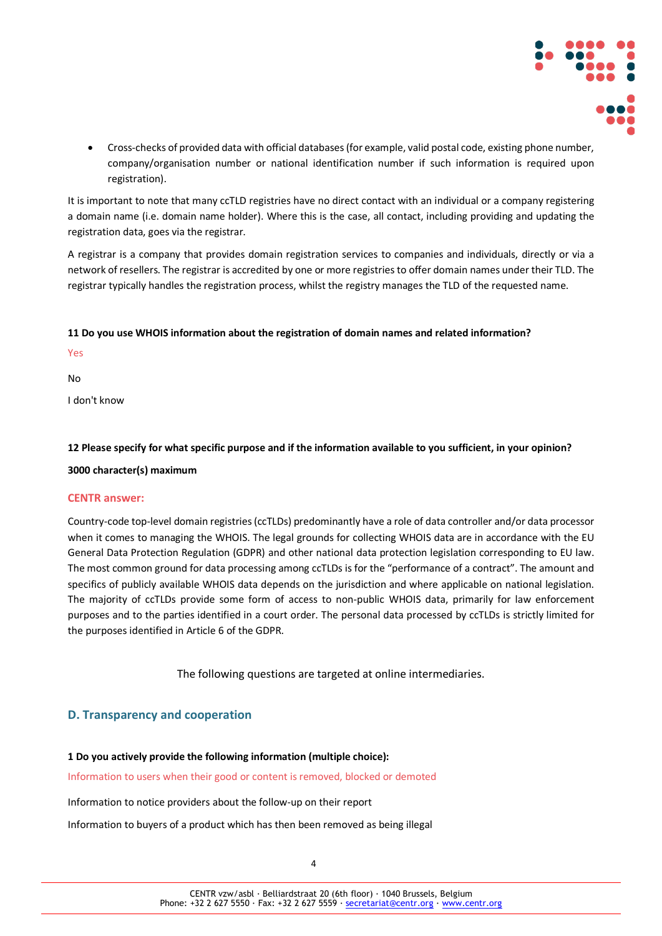

• Cross-checks of provided data with official databases (for example, valid postal code, existing phone number, company/organisation number or national identification number if such information is required upon registration).

It is important to note that many ccTLD registries have no direct contact with an individual or a company registering a domain name (i.e. domain name holder). Where this is the case, all contact, including providing and updating the registration data, goes via the registrar.

A registrar is a company that provides domain registration services to companies and individuals, directly or via a network of resellers. The registrar is accredited by one or more registries to offer domain names under their TLD. The registrar typically handles the registration process, whilst the registry manages the TLD of the requested name.

### **11 Do you use WHOIS information about the registration of domain names and related information?**

Yes

No

I don't know

### **12 Please specify for what specific purpose and if the information available to you sufficient, in your opinion?**

### **3000 character(s) maximum**

### **CENTR answer:**

Country-code top-level domain registries (ccTLDs) predominantly have a role of data controller and/or data processor when it comes to managing the WHOIS. The legal grounds for collecting WHOIS data are in accordance with the EU General Data Protection Regulation (GDPR) and other national data protection legislation corresponding to EU law. The most common ground for data processing among ccTLDs is for the "performance of a contract". The amount and specifics of publicly available WHOIS data depends on the jurisdiction and where applicable on national legislation. The majority of ccTLDs provide some form of access to non-public WHOIS data, primarily for law enforcement purposes and to the parties identified in a court order. The personal data processed by ccTLDs is strictly limited for the purposes identified in Article 6 of the GDPR.

The following questions are targeted at online intermediaries.

# **D. Transparency and cooperation**

### **1 Do you actively provide the following information (multiple choice):**

Information to users when their good or content is removed, blocked or demoted

Information to notice providers about the follow-up on their report

Information to buyers of a product which has then been removed as being illegal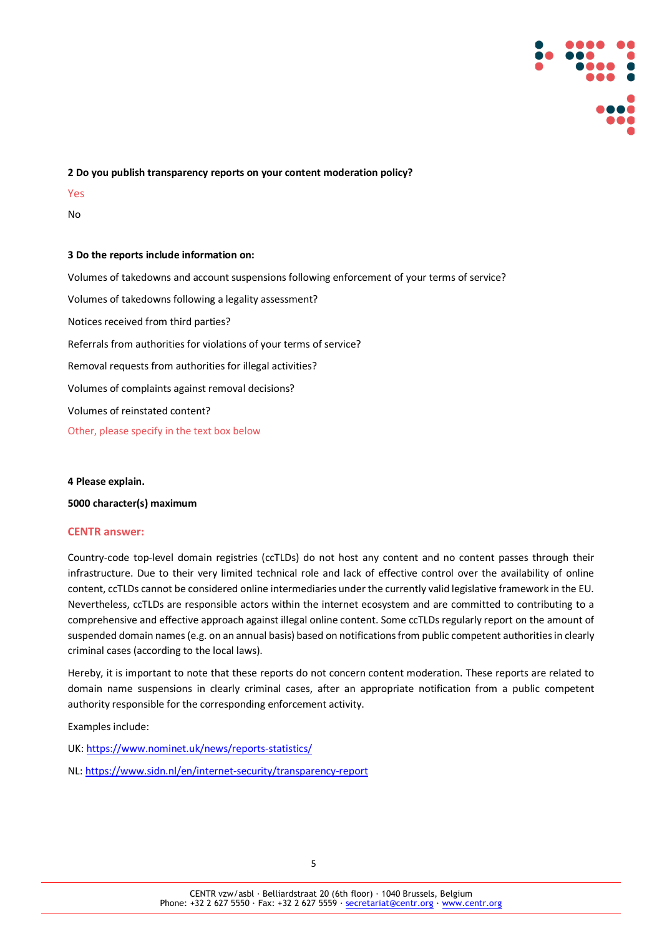

### **2 Do you publish transparency reports on your content moderation policy?**

Yes

No

### **3 Do the reports include information on:**

Volumes of takedowns and account suspensions following enforcement of your terms of service? Volumes of takedowns following a legality assessment? Notices received from third parties? Referrals from authorities for violations of your terms of service? Removal requests from authorities for illegal activities? Volumes of complaints against removal decisions? Volumes of reinstated content? Other, please specify in the text box below

### **4 Please explain.**

### **5000 character(s) maximum**

### **CENTR answer:**

Country-code top-level domain registries (ccTLDs) do not host any content and no content passes through their infrastructure. Due to their very limited technical role and lack of effective control over the availability of online content, ccTLDs cannot be considered online intermediaries under the currently valid legislative framework in the EU. Nevertheless, ccTLDs are responsible actors within the internet ecosystem and are committed to contributing to a comprehensive and effective approach against illegal online content. Some ccTLDs regularly report on the amount of suspended domain names (e.g. on an annual basis) based on notifications from public competent authorities in clearly criminal cases (according to the local laws).

Hereby, it is important to note that these reports do not concern content moderation. These reports are related to domain name suspensions in clearly criminal cases, after an appropriate notification from a public competent authority responsible for the corresponding enforcement activity.

Examples include:

- UK[: https://www.nominet.uk/news/reports-statistics/](https://www.nominet.uk/news/reports-statistics/)
- NL[: https://www.sidn.nl/en/internet-security/transparency-report](https://www.sidn.nl/en/internet-security/transparency-report)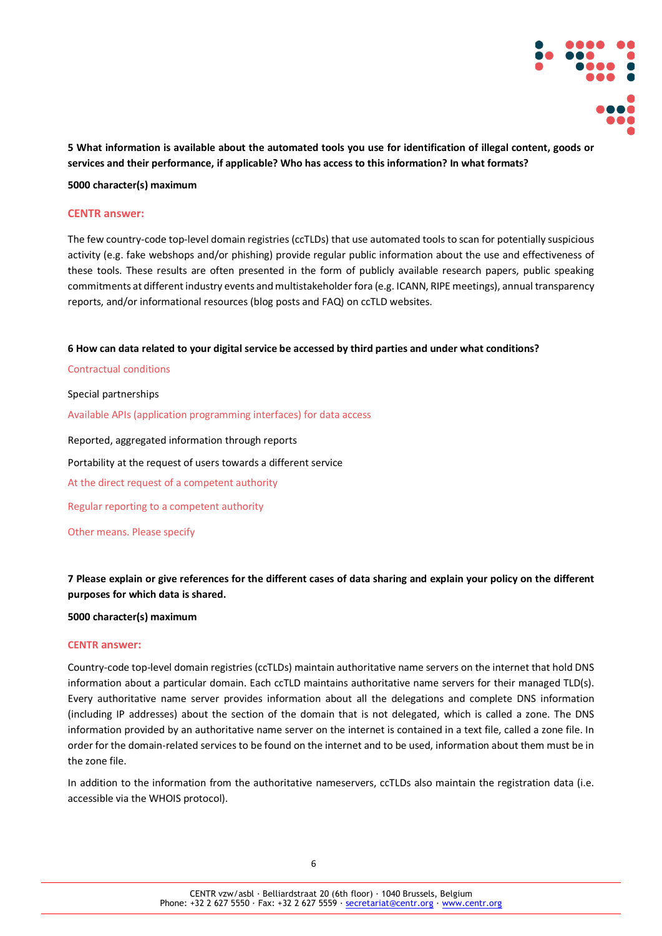

**5 What information is available about the automated tools you use for identification of illegal content, goods or services and their performance, if applicable? Who has access to this information? In what formats?**

**5000 character(s) maximum**

### **CENTR answer:**

The few country-code top-level domain registries (ccTLDs) that use automated tools to scan for potentially suspicious activity (e.g. fake webshops and/or phishing) provide regular public information about the use and effectiveness of these tools. These results are often presented in the form of publicly available research papers, public speaking commitments at different industry events and multistakeholder fora (e.g. ICANN, RIPE meetings), annual transparency reports, and/or informational resources (blog posts and FAQ) on ccTLD websites.

**6 How can data related to your digital service be accessed by third parties and under what conditions?**

Contractual conditions

Special partnerships

Available APIs (application programming interfaces) for data access

Reported, aggregated information through reports

Portability at the request of users towards a different service

At the direct request of a competent authority

Regular reporting to a competent authority

Other means. Please specify

**7 Please explain or give references for the different cases of data sharing and explain your policy on the different purposes for which data is shared.**

### **5000 character(s) maximum**

### **CENTR answer:**

Country-code top-level domain registries (ccTLDs) maintain authoritative name servers on the internet that hold DNS information about a particular domain. Each ccTLD maintains authoritative name servers for their managed TLD(s). Every authoritative name server provides information about all the delegations and complete DNS information (including IP addresses) about the section of the domain that is not delegated, which is called a zone. The DNS information provided by an authoritative name server on the internet is contained in a text file, called a zone file. In order for the domain-related services to be found on the internet and to be used, information about them must be in the zone file.

In addition to the information from the authoritative nameservers, ccTLDs also maintain the registration data (i.e. accessible via the WHOIS protocol).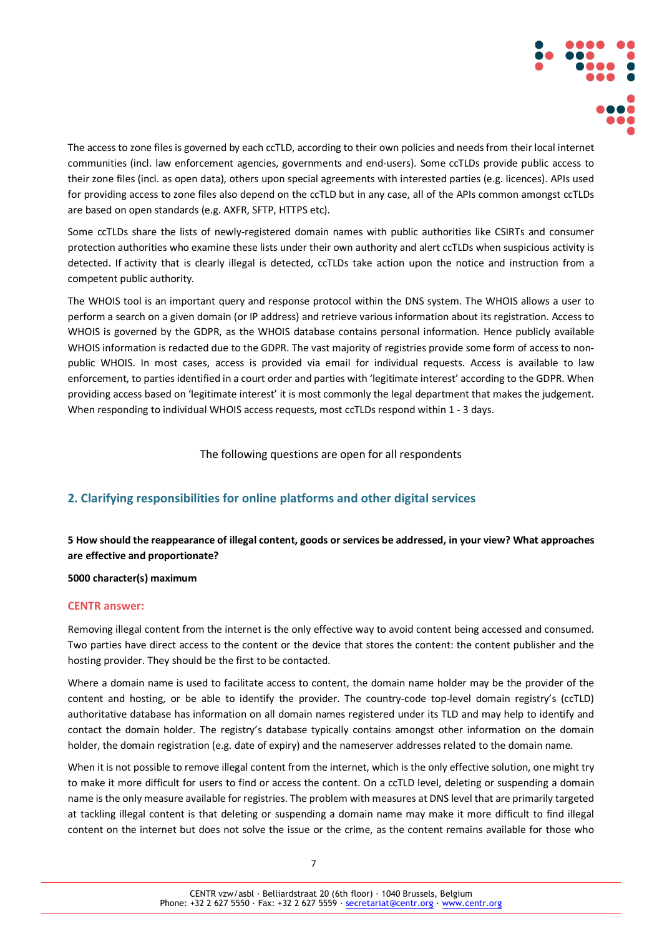

The access to zone files is governed by each ccTLD, according to their own policies and needs from their local internet communities (incl. law enforcement agencies, governments and end-users). Some ccTLDs provide public access to their zone files (incl. as open data), others upon special agreements with interested parties (e.g. licences). APIs used for providing access to zone files also depend on the ccTLD but in any case, all of the APIs common amongst ccTLDs are based on open standards (e.g. AXFR, SFTP, HTTPS etc).

Some ccTLDs share the lists of newly-registered domain names with public authorities like CSIRTs and consumer protection authorities who examine these lists under their own authority and alert ccTLDs when suspicious activity is detected. If activity that is clearly illegal is detected, ccTLDs take action upon the notice and instruction from a competent public authority.

The WHOIS tool is an important query and response protocol within the DNS system. The WHOIS allows a user to perform a search on a given domain (or IP address) and retrieve various information about its registration. Access to WHOIS is governed by the GDPR, as the WHOIS database contains personal information. Hence publicly available WHOIS information is redacted due to the GDPR. The vast majority of registries provide some form of access to nonpublic WHOIS. In most cases, access is provided via email for individual requests. Access is available to law enforcement, to parties identified in a court order and parties with 'legitimate interest' according to the GDPR. When providing access based on 'legitimate interest' it is most commonly the legal department that makes the judgement. When responding to individual WHOIS access requests, most ccTLDs respond within 1 - 3 days.

The following questions are open for all respondents

# **2. Clarifying responsibilities for online platforms and other digital services**

# **5 How should the reappearance of illegal content, goods or services be addressed, in your view? What approaches are effective and proportionate?**

### **5000 character(s) maximum**

### **CENTR answer:**

Removing illegal content from the internet is the only effective way to avoid content being accessed and consumed. Two parties have direct access to the content or the device that stores the content: the content publisher and the hosting provider. They should be the first to be contacted.

Where a domain name is used to facilitate access to content, the domain name holder may be the provider of the content and hosting, or be able to identify the provider. The country-code top-level domain registry's (ccTLD) authoritative database has information on all domain names registered under its TLD and may help to identify and contact the domain holder. The registry's database typically contains amongst other information on the domain holder, the domain registration (e.g. date of expiry) and the nameserver addresses related to the domain name.

When it is not possible to remove illegal content from the internet, which is the only effective solution, one might try to make it more difficult for users to find or access the content. On a ccTLD level, deleting or suspending a domain name is the only measure available for registries. The problem with measures at DNS level that are primarily targeted at tackling illegal content is that deleting or suspending a domain name may make it more difficult to find illegal content on the internet but does not solve the issue or the crime, as the content remains available for those who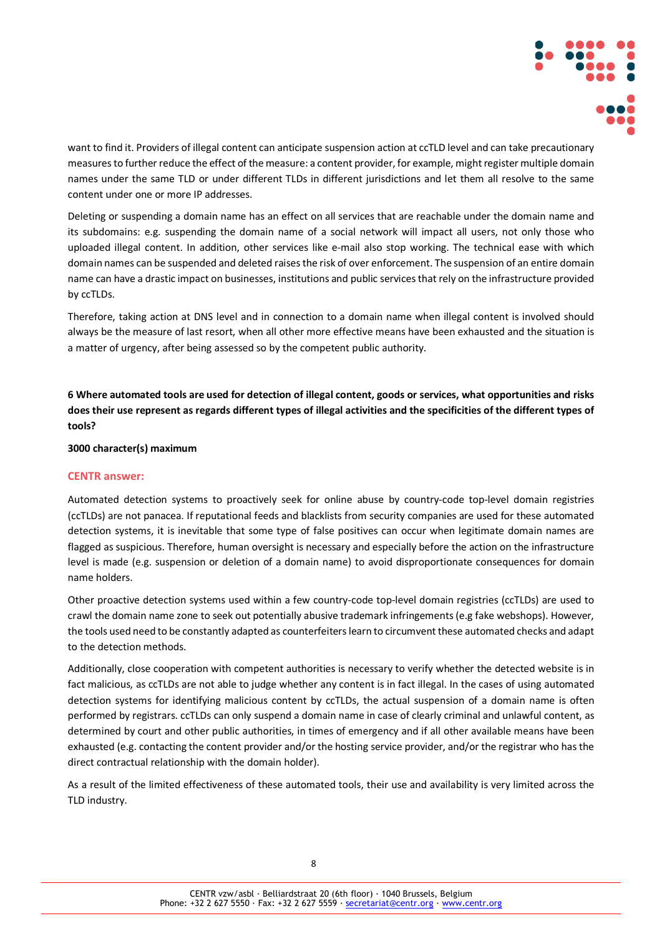

want to find it. Providers of illegal content can anticipate suspension action at ccTLD level and can take precautionary measures to further reduce the effect of the measure: a content provider, for example, might register multiple domain names under the same TLD or under different TLDs in different jurisdictions and let them all resolve to the same content under one or more IP addresses.

Deleting or suspending a domain name has an effect on all services that are reachable under the domain name and its subdomains: e.g. suspending the domain name of a social network will impact all users, not only those who uploaded illegal content. In addition, other services like e-mail also stop working. The technical ease with which domain names can be suspended and deleted raises the risk of over enforcement. The suspension of an entire domain name can have a drastic impact on businesses, institutions and public services that rely on the infrastructure provided by ccTLDs.

Therefore, taking action at DNS level and in connection to a domain name when illegal content is involved should always be the measure of last resort, when all other more effective means have been exhausted and the situation is a matter of urgency, after being assessed so by the competent public authority.

**6 Where automated tools are used for detection of illegal content, goods or services, what opportunities and risks does their use represent as regards different types of illegal activities and the specificities of the different types of tools?**

**3000 character(s) maximum**

### **CENTR answer:**

Automated detection systems to proactively seek for online abuse by country-code top-level domain registries (ccTLDs) are not panacea. If reputational feeds and blacklists from security companies are used for these automated detection systems, it is inevitable that some type of false positives can occur when legitimate domain names are flagged as suspicious. Therefore, human oversight is necessary and especially before the action on the infrastructure level is made (e.g. suspension or deletion of a domain name) to avoid disproportionate consequences for domain name holders.

Other proactive detection systems used within a few country-code top-level domain registries (ccTLDs) are used to crawl the domain name zone to seek out potentially abusive trademark infringements (e.g fake webshops). However, the tools used need to be constantly adapted as counterfeiters learn to circumvent these automated checks and adapt to the detection methods.

Additionally, close cooperation with competent authorities is necessary to verify whether the detected website is in fact malicious, as ccTLDs are not able to judge whether any content is in fact illegal. In the cases of using automated detection systems for identifying malicious content by ccTLDs, the actual suspension of a domain name is often performed by registrars. ccTLDs can only suspend a domain name in case of clearly criminal and unlawful content, as determined by court and other public authorities, in times of emergency and if all other available means have been exhausted (e.g. contacting the content provider and/or the hosting service provider, and/or the registrar who has the direct contractual relationship with the domain holder).

As a result of the limited effectiveness of these automated tools, their use and availability is very limited across the TLD industry.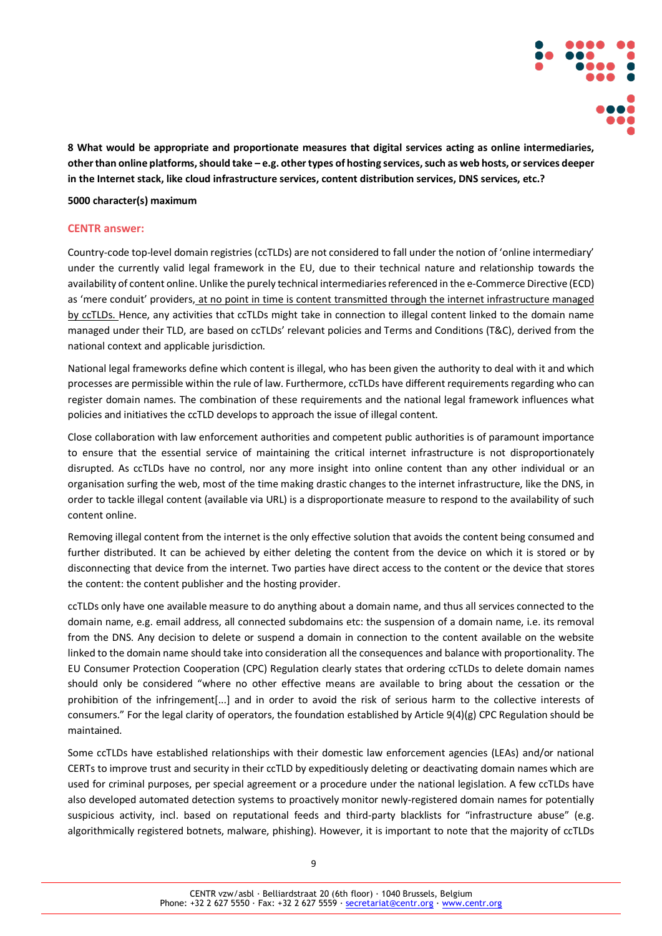

**8 What would be appropriate and proportionate measures that digital services acting as online intermediaries, other than online platforms, should take – e.g. other types of hosting services, such as web hosts, or services deeper in the Internet stack, like cloud infrastructure services, content distribution services, DNS services, etc.?**

### **5000 character(s) maximum**

### **CENTR answer:**

Country-code top-level domain registries (ccTLDs) are not considered to fall under the notion of 'online intermediary' under the currently valid legal framework in the EU, due to their technical nature and relationship towards the availability of content online. Unlike the purely technical intermediaries referenced in the e-Commerce Directive (ECD) as 'mere conduit' providers, at no point in time is content transmitted through the internet infrastructure managed by ccTLDs. Hence, any activities that ccTLDs might take in connection to illegal content linked to the domain name managed under their TLD, are based on ccTLDs' relevant policies and Terms and Conditions (T&C), derived from the national context and applicable jurisdiction.

National legal frameworks define which content is illegal, who has been given the authority to deal with it and which processes are permissible within the rule of law. Furthermore, ccTLDs have different requirements regarding who can register domain names. The combination of these requirements and the national legal framework influences what policies and initiatives the ccTLD develops to approach the issue of illegal content.

Close collaboration with law enforcement authorities and competent public authorities is of paramount importance to ensure that the essential service of maintaining the critical internet infrastructure is not disproportionately disrupted. As ccTLDs have no control, nor any more insight into online content than any other individual or an organisation surfing the web, most of the time making drastic changes to the internet infrastructure, like the DNS, in order to tackle illegal content (available via URL) is a disproportionate measure to respond to the availability of such content online.

Removing illegal content from the internet is the only effective solution that avoids the content being consumed and further distributed. It can be achieved by either deleting the content from the device on which it is stored or by disconnecting that device from the internet. Two parties have direct access to the content or the device that stores the content: the content publisher and the hosting provider.

ccTLDs only have one available measure to do anything about a domain name, and thus all services connected to the domain name, e.g. email address, all connected subdomains etc: the suspension of a domain name, i.e. its removal from the DNS. Any decision to delete or suspend a domain in connection to the content available on the website linked to the domain name should take into consideration all the consequences and balance with proportionality. The EU Consumer Protection Cooperation (CPC) Regulation clearly states that ordering ccTLDs to delete domain names should only be considered "where no other effective means are available to bring about the cessation or the prohibition of the infringement[...] and in order to avoid the risk of serious harm to the collective interests of consumers." For the legal clarity of operators, the foundation established by Article 9(4)(g) CPC Regulation should be maintained.

Some ccTLDs have established relationships with their domestic law enforcement agencies (LEAs) and/or national CERTs to improve trust and security in their ccTLD by expeditiously deleting or deactivating domain names which are used for criminal purposes, per special agreement or a procedure under the national legislation. A few ccTLDs have also developed automated detection systems to proactively monitor newly-registered domain names for potentially suspicious activity, incl. based on reputational feeds and third-party blacklists for "infrastructure abuse" (e.g. algorithmically registered botnets, malware, phishing). However, it is important to note that the majority of ccTLDs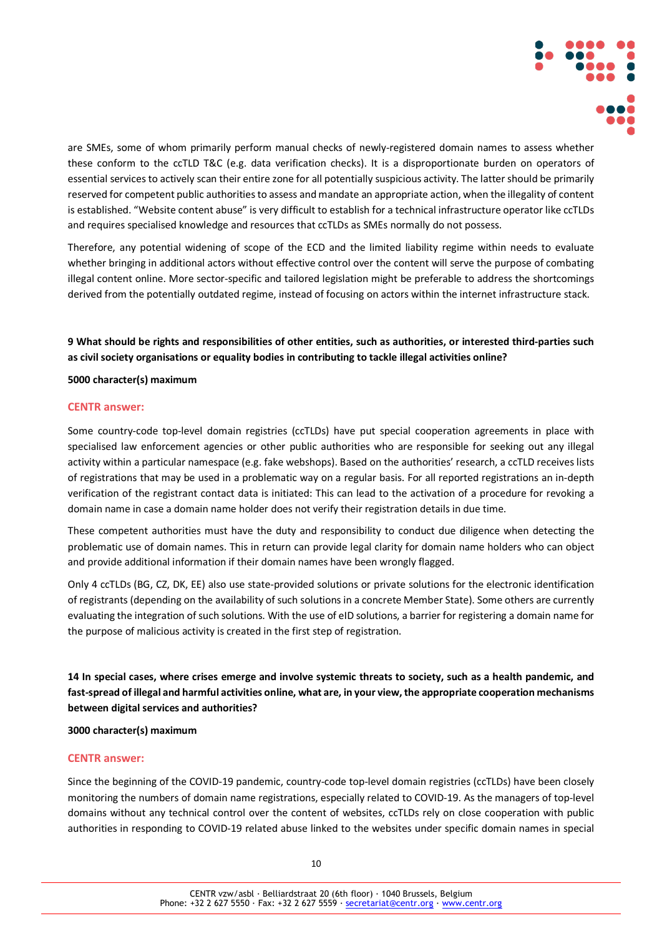

are SMEs, some of whom primarily perform manual checks of newly-registered domain names to assess whether these conform to the ccTLD T&C (e.g. data verification checks). It is a disproportionate burden on operators of essential services to actively scan their entire zone for all potentially suspicious activity. The latter should be primarily reserved for competent public authorities to assess and mandate an appropriate action, when the illegality of content is established. "Website content abuse" is very difficult to establish for a technical infrastructure operator like ccTLDs and requires specialised knowledge and resources that ccTLDs as SMEs normally do not possess.

Therefore, any potential widening of scope of the ECD and the limited liability regime within needs to evaluate whether bringing in additional actors without effective control over the content will serve the purpose of combating illegal content online. More sector-specific and tailored legislation might be preferable to address the shortcomings derived from the potentially outdated regime, instead of focusing on actors within the internet infrastructure stack.

**9 What should be rights and responsibilities of other entities, such as authorities, or interested third-parties such as civil society organisations or equality bodies in contributing to tackle illegal activities online?**

### **5000 character(s) maximum**

### **CENTR answer:**

Some country-code top-level domain registries (ccTLDs) have put special cooperation agreements in place with specialised law enforcement agencies or other public authorities who are responsible for seeking out any illegal activity within a particular namespace (e.g. fake webshops). Based on the authorities' research, a ccTLD receives lists of registrations that may be used in a problematic way on a regular basis. For all reported registrations an in-depth verification of the registrant contact data is initiated: This can lead to the activation of a procedure for revoking a domain name in case a domain name holder does not verify their registration details in due time.

These competent authorities must have the duty and responsibility to conduct due diligence when detecting the problematic use of domain names. This in return can provide legal clarity for domain name holders who can object and provide additional information if their domain names have been wrongly flagged.

Only 4 ccTLDs (BG, CZ, DK, EE) also use state-provided solutions or private solutions for the electronic identification of registrants (depending on the availability of such solutions in a concrete Member State). Some others are currently evaluating the integration of such solutions. With the use of eID solutions, a barrier for registering a domain name for the purpose of malicious activity is created in the first step of registration.

**14 In special cases, where crises emerge and involve systemic threats to society, such as a health pandemic, and fast-spread of illegal and harmful activities online, what are, in your view, the appropriate cooperation mechanisms between digital services and authorities?**

### **3000 character(s) maximum**

### **CENTR answer:**

Since the beginning of the COVID-19 pandemic, country-code top-level domain registries (ccTLDs) have been closely monitoring the numbers of domain name registrations, especially related to COVID-19. As the managers of top-level domains without any technical control over the content of websites, ccTLDs rely on close cooperation with public authorities in responding to COVID-19 related abuse linked to the websites under specific domain names in special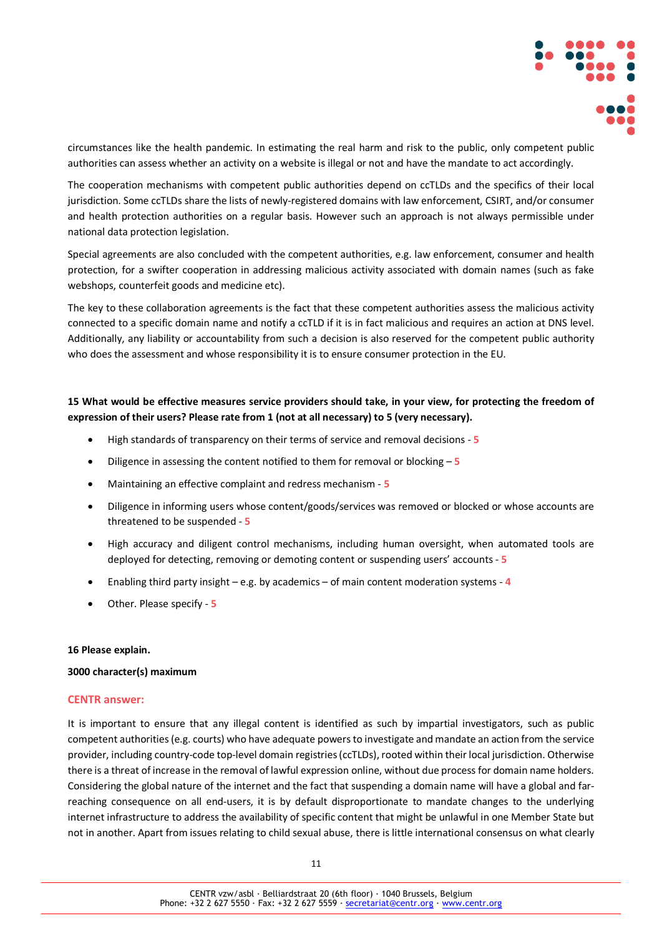

circumstances like the health pandemic. In estimating the real harm and risk to the public, only competent public authorities can assess whether an activity on a website is illegal or not and have the mandate to act accordingly.

The cooperation mechanisms with competent public authorities depend on ccTLDs and the specifics of their local jurisdiction. Some ccTLDs share the lists of newly-registered domains with law enforcement, CSIRT, and/or consumer and health protection authorities on a regular basis. However such an approach is not always permissible under national data protection legislation.

Special agreements are also concluded with the competent authorities, e.g. law enforcement, consumer and health protection, for a swifter cooperation in addressing malicious activity associated with domain names (such as fake webshops, counterfeit goods and medicine etc).

The key to these collaboration agreements is the fact that these competent authorities assess the malicious activity connected to a specific domain name and notify a ccTLD if it is in fact malicious and requires an action at DNS level. Additionally, any liability or accountability from such a decision is also reserved for the competent public authority who does the assessment and whose responsibility it is to ensure consumer protection in the EU.

### **15 What would be effective measures service providers should take, in your view, for protecting the freedom of expression of their users? Please rate from 1 (not at all necessary) to 5 (very necessary).**

- High standards of transparency on their terms of service and removal decisions **5**
- Diligence in assessing the content notified to them for removal or blocking **5**
- Maintaining an effective complaint and redress mechanism **5**
- Diligence in informing users whose content/goods/services was removed or blocked or whose accounts are threatened to be suspended - **5**
- High accuracy and diligent control mechanisms, including human oversight, when automated tools are deployed for detecting, removing or demoting content or suspending users' accounts - **5**
- Enabling third party insight e.g. by academics of main content moderation systems **4**
- Other. Please specify **5**

### **16 Please explain.**

### **3000 character(s) maximum**

### **CENTR answer:**

It is important to ensure that any illegal content is identified as such by impartial investigators, such as public competent authorities (e.g. courts) who have adequate powers to investigate and mandate an action from the service provider, including country-code top-level domain registries (ccTLDs), rooted within their local jurisdiction. Otherwise there is a threat of increase in the removal of lawful expression online, without due process for domain name holders. Considering the global nature of the internet and the fact that suspending a domain name will have a global and farreaching consequence on all end-users, it is by default disproportionate to mandate changes to the underlying internet infrastructure to address the availability of specific content that might be unlawful in one Member State but not in another. Apart from issues relating to child sexual abuse, there is little international consensus on what clearly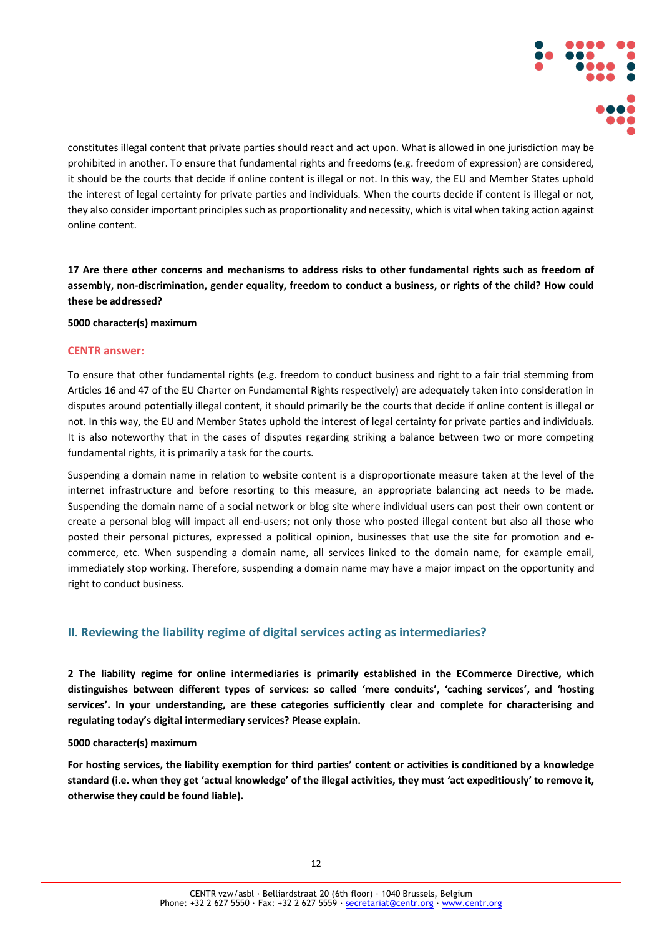

constitutes illegal content that private parties should react and act upon. What is allowed in one jurisdiction may be prohibited in another. To ensure that fundamental rights and freedoms (e.g. freedom of expression) are considered, it should be the courts that decide if online content is illegal or not. In this way, the EU and Member States uphold the interest of legal certainty for private parties and individuals. When the courts decide if content is illegal or not, they also consider important principles such as proportionality and necessity, which is vital when taking action against online content.

**17 Are there other concerns and mechanisms to address risks to other fundamental rights such as freedom of assembly, non-discrimination, gender equality, freedom to conduct a business, or rights of the child? How could these be addressed?**

### **5000 character(s) maximum**

### **CENTR answer:**

To ensure that other fundamental rights (e.g. freedom to conduct business and right to a fair trial stemming from Articles 16 and 47 of the EU Charter on Fundamental Rights respectively) are adequately taken into consideration in disputes around potentially illegal content, it should primarily be the courts that decide if online content is illegal or not. In this way, the EU and Member States uphold the interest of legal certainty for private parties and individuals. It is also noteworthy that in the cases of disputes regarding striking a balance between two or more competing fundamental rights, it is primarily a task for the courts.

Suspending a domain name in relation to website content is a disproportionate measure taken at the level of the internet infrastructure and before resorting to this measure, an appropriate balancing act needs to be made. Suspending the domain name of a social network or blog site where individual users can post their own content or create a personal blog will impact all end-users; not only those who posted illegal content but also all those who posted their personal pictures, expressed a political opinion, businesses that use the site for promotion and ecommerce, etc. When suspending a domain name, all services linked to the domain name, for example email, immediately stop working. Therefore, suspending a domain name may have a major impact on the opportunity and right to conduct business.

### **II. Reviewing the liability regime of digital services acting as intermediaries?**

**2 The liability regime for online intermediaries is primarily established in the ECommerce Directive, which distinguishes between different types of services: so called 'mere conduits', 'caching services', and 'hosting services'. In your understanding, are these categories sufficiently clear and complete for characterising and regulating today's digital intermediary services? Please explain.**

### **5000 character(s) maximum**

**For hosting services, the liability exemption for third parties' content or activities is conditioned by a knowledge standard (i.e. when they get 'actual knowledge' of the illegal activities, they must 'act expeditiously' to remove it, otherwise they could be found liable).**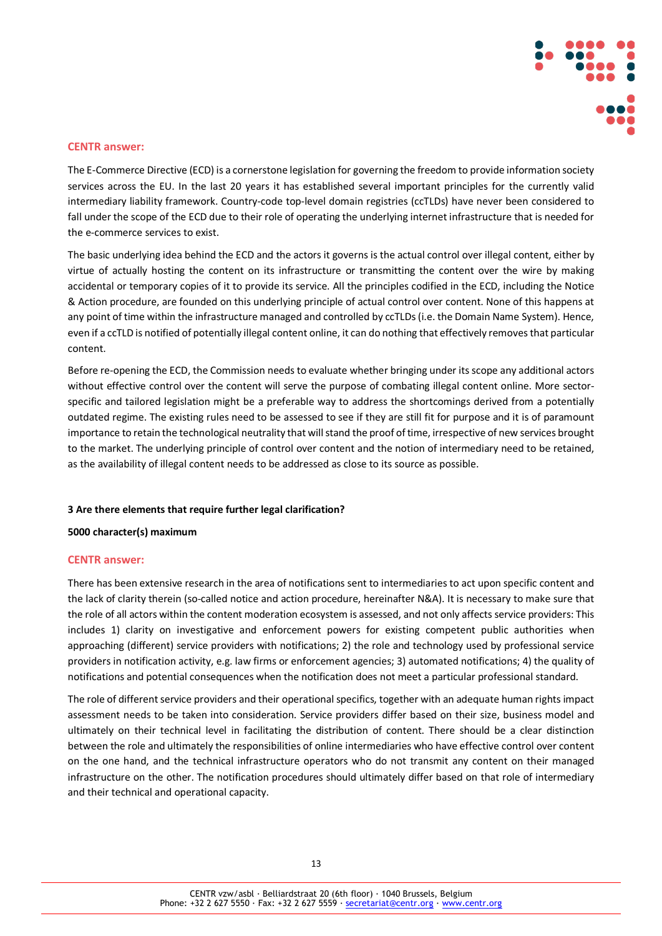

### **CENTR answer:**

The E-Commerce Directive (ECD) is a cornerstone legislation for governing the freedom to provide information society services across the EU. In the last 20 years it has established several important principles for the currently valid intermediary liability framework. Country-code top-level domain registries (ccTLDs) have never been considered to fall under the scope of the ECD due to their role of operating the underlying internet infrastructure that is needed for the e-commerce services to exist.

The basic underlying idea behind the ECD and the actors it governs is the actual control over illegal content, either by virtue of actually hosting the content on its infrastructure or transmitting the content over the wire by making accidental or temporary copies of it to provide its service. All the principles codified in the ECD, including the Notice & Action procedure, are founded on this underlying principle of actual control over content. None of this happens at any point of time within the infrastructure managed and controlled by ccTLDs (i.e. the Domain Name System). Hence, even if a ccTLD is notified of potentially illegal content online, it can do nothing that effectively removes that particular content.

Before re-opening the ECD, the Commission needs to evaluate whether bringing under its scope any additional actors without effective control over the content will serve the purpose of combating illegal content online. More sectorspecific and tailored legislation might be a preferable way to address the shortcomings derived from a potentially outdated regime. The existing rules need to be assessed to see if they are still fit for purpose and it is of paramount importance to retain the technological neutrality that will stand the proof of time, irrespective of new services brought to the market. The underlying principle of control over content and the notion of intermediary need to be retained, as the availability of illegal content needs to be addressed as close to its source as possible.

### **3 Are there elements that require further legal clarification?**

### **5000 character(s) maximum**

### **CENTR answer:**

There has been extensive research in the area of notifications sent to intermediaries to act upon specific content and the lack of clarity therein (so-called notice and action procedure, hereinafter N&A). It is necessary to make sure that the role of all actors within the content moderation ecosystem is assessed, and not only affects service providers: This includes 1) clarity on investigative and enforcement powers for existing competent public authorities when approaching (different) service providers with notifications; 2) the role and technology used by professional service providers in notification activity, e.g. law firms or enforcement agencies; 3) automated notifications; 4) the quality of notifications and potential consequences when the notification does not meet a particular professional standard.

The role of different service providers and their operational specifics, together with an adequate human rights impact assessment needs to be taken into consideration. Service providers differ based on their size, business model and ultimately on their technical level in facilitating the distribution of content. There should be a clear distinction between the role and ultimately the responsibilities of online intermediaries who have effective control over content on the one hand, and the technical infrastructure operators who do not transmit any content on their managed infrastructure on the other. The notification procedures should ultimately differ based on that role of intermediary and their technical and operational capacity.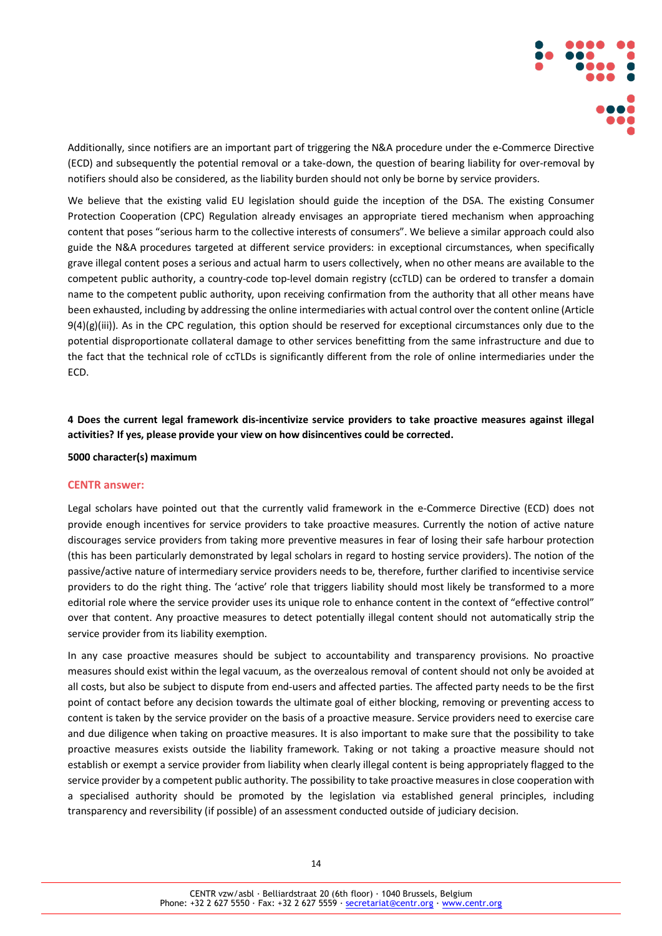

Additionally, since notifiers are an important part of triggering the N&A procedure under the e-Commerce Directive (ECD) and subsequently the potential removal or a take-down, the question of bearing liability for over-removal by notifiers should also be considered, as the liability burden should not only be borne by service providers.

We believe that the existing valid EU legislation should guide the inception of the DSA. The existing Consumer Protection Cooperation (CPC) Regulation already envisages an appropriate tiered mechanism when approaching content that poses "serious harm to the collective interests of consumers". We believe a similar approach could also guide the N&A procedures targeted at different service providers: in exceptional circumstances, when specifically grave illegal content poses a serious and actual harm to users collectively, when no other means are available to the competent public authority, a country-code top-level domain registry (ccTLD) can be ordered to transfer a domain name to the competent public authority, upon receiving confirmation from the authority that all other means have been exhausted, including by addressing the online intermediaries with actual control over the content online (Article  $9(4)(g)(iii)$ ). As in the CPC regulation, this option should be reserved for exceptional circumstances only due to the potential disproportionate collateral damage to other services benefitting from the same infrastructure and due to the fact that the technical role of ccTLDs is significantly different from the role of online intermediaries under the ECD.

**4 Does the current legal framework dis-incentivize service providers to take proactive measures against illegal activities? If yes, please provide your view on how disincentives could be corrected.**

**5000 character(s) maximum**

### **CENTR answer:**

Legal scholars have pointed out that the currently valid framework in the e-Commerce Directive (ECD) does not provide enough incentives for service providers to take proactive measures. Currently the notion of active nature discourages service providers from taking more preventive measures in fear of losing their safe harbour protection (this has been particularly demonstrated by legal scholars in regard to hosting service providers). The notion of the passive/active nature of intermediary service providers needs to be, therefore, further clarified to incentivise service providers to do the right thing. The 'active' role that triggers liability should most likely be transformed to a more editorial role where the service provider uses its unique role to enhance content in the context of "effective control" over that content. Any proactive measures to detect potentially illegal content should not automatically strip the service provider from its liability exemption.

In any case proactive measures should be subject to accountability and transparency provisions. No proactive measures should exist within the legal vacuum, as the overzealous removal of content should not only be avoided at all costs, but also be subject to dispute from end-users and affected parties. The affected party needs to be the first point of contact before any decision towards the ultimate goal of either blocking, removing or preventing access to content is taken by the service provider on the basis of a proactive measure. Service providers need to exercise care and due diligence when taking on proactive measures. It is also important to make sure that the possibility to take proactive measures exists outside the liability framework. Taking or not taking a proactive measure should not establish or exempt a service provider from liability when clearly illegal content is being appropriately flagged to the service provider by a competent public authority. The possibility to take proactive measures in close cooperation with a specialised authority should be promoted by the legislation via established general principles, including transparency and reversibility (if possible) of an assessment conducted outside of judiciary decision.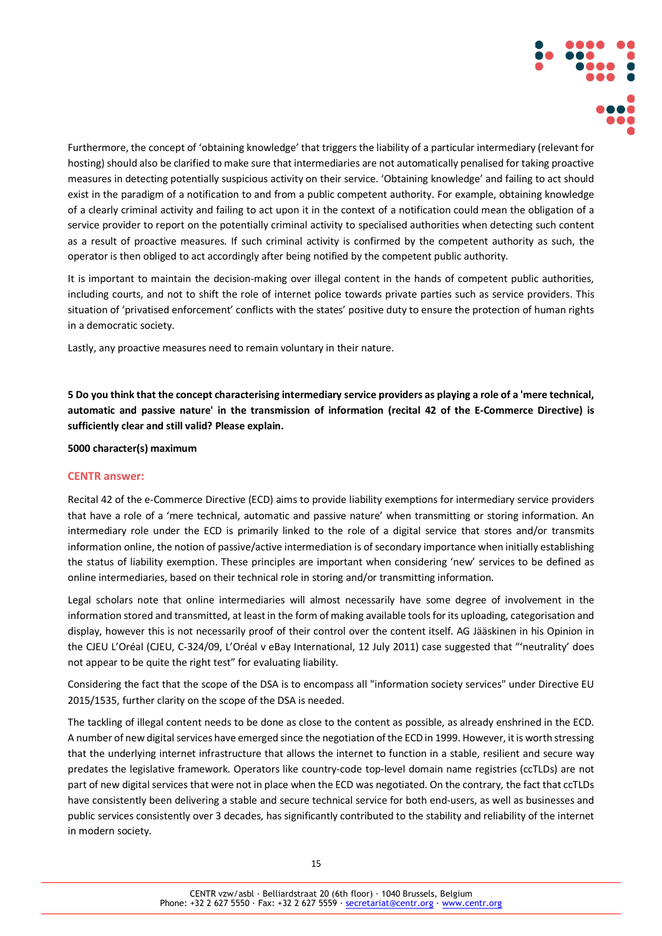

Furthermore, the concept of 'obtaining knowledge' that triggers the liability of a particular intermediary (relevant for hosting) should also be clarified to make sure that intermediaries are not automatically penalised for taking proactive measures in detecting potentially suspicious activity on their service. 'Obtaining knowledge' and failing to act should exist in the paradigm of a notification to and from a public competent authority. For example, obtaining knowledge of a clearly criminal activity and failing to act upon it in the context of a notification could mean the obligation of a service provider to report on the potentially criminal activity to specialised authorities when detecting such content as a result of proactive measures. If such criminal activity is confirmed by the competent authority as such, the operator is then obliged to act accordingly after being notified by the competent public authority.

It is important to maintain the decision-making over illegal content in the hands of competent public authorities, including courts, and not to shift the role of internet police towards private parties such as service providers. This situation of 'privatised enforcement' conflicts with the states' positive duty to ensure the protection of human rights in a democratic society.

Lastly, any proactive measures need to remain voluntary in their nature.

**5 Do you think that the concept characterising intermediary service providers as playing a role of a 'mere technical, automatic and passive nature' in the transmission of information (recital 42 of the E-Commerce Directive) is sufficiently clear and still valid? Please explain.**

**5000 character(s) maximum**

### **CENTR answer:**

Recital 42 of the e-Commerce Directive (ECD) aims to provide liability exemptions for intermediary service providers that have a role of a 'mere technical, automatic and passive nature' when transmitting or storing information. An intermediary role under the ECD is primarily linked to the role of a digital service that stores and/or transmits information online, the notion of passive/active intermediation is of secondary importance when initially establishing the status of liability exemption. These principles are important when considering 'new' services to be defined as online intermediaries, based on their technical role in storing and/or transmitting information.

Legal scholars note that online intermediaries will almost necessarily have some degree of involvement in the information stored and transmitted, at least in the form of making available tools for its uploading, categorisation and display, however this is not necessarily proof of their control over the content itself. AG Jääskinen in his Opinion in the CJEU L'Oréal (CJEU, C-324/09, L'Oréal v eBay International, 12 July 2011) case suggested that "'neutrality' does not appear to be quite the right test" for evaluating liability.

Considering the fact that the scope of the DSA is to encompass all "information society services" under Directive EU 2015/1535, further clarity on the scope of the DSA is needed.

The tackling of illegal content needs to be done as close to the content as possible, as already enshrined in the ECD. A number of new digital services have emerged since the negotiation of the ECD in 1999. However, it is worth stressing that the underlying internet infrastructure that allows the internet to function in a stable, resilient and secure way predates the legislative framework. Operators like country-code top-level domain name registries (ccTLDs) are not part of new digital services that were not in place when the ECD was negotiated. On the contrary, the fact that ccTLDs have consistently been delivering a stable and secure technical service for both end-users, as well as businesses and public services consistently over 3 decades, has significantly contributed to the stability and reliability of the internet in modern society.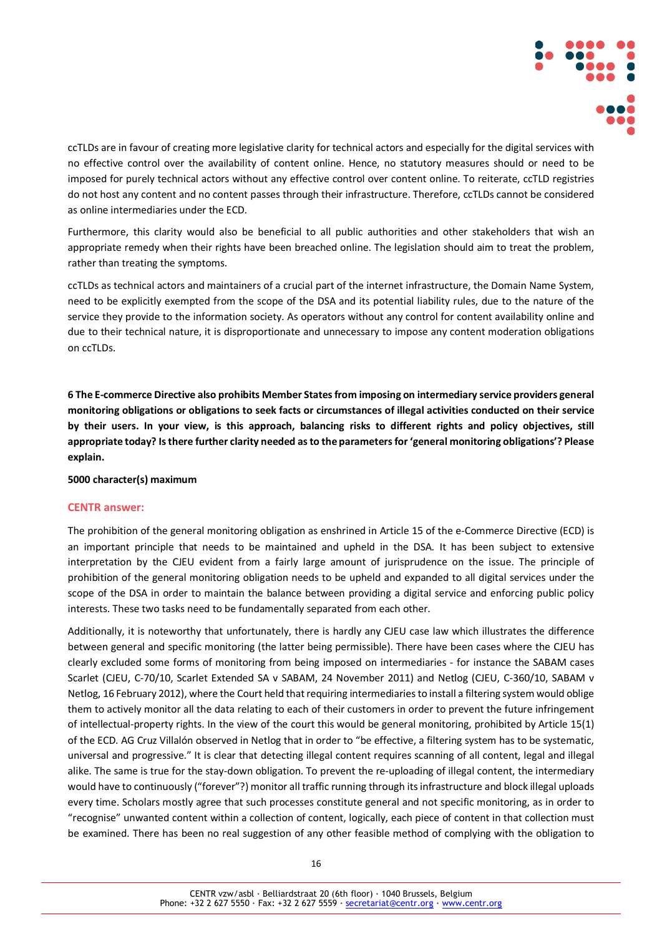

ccTLDs are in favour of creating more legislative clarity for technical actors and especially for the digital services with no effective control over the availability of content online. Hence, no statutory measures should or need to be imposed for purely technical actors without any effective control over content online. To reiterate, ccTLD registries do not host any content and no content passes through their infrastructure. Therefore, ccTLDs cannot be considered as online intermediaries under the ECD.

Furthermore, this clarity would also be beneficial to all public authorities and other stakeholders that wish an appropriate remedy when their rights have been breached online. The legislation should aim to treat the problem, rather than treating the symptoms.

ccTLDs as technical actors and maintainers of a crucial part of the internet infrastructure, the Domain Name System, need to be explicitly exempted from the scope of the DSA and its potential liability rules, due to the nature of the service they provide to the information society. As operators without any control for content availability online and due to their technical nature, it is disproportionate and unnecessary to impose any content moderation obligations on ccTLDs.

**6 The E-commerce Directive also prohibits Member States from imposing on intermediary service providers general monitoring obligations or obligations to seek facts or circumstances of illegal activities conducted on their service by their users. In your view, is this approach, balancing risks to different rights and policy objectives, still appropriate today? Is there further clarity needed as to the parameters for 'general monitoring obligations'? Please explain.**

### **5000 character(s) maximum**

### **CENTR answer:**

The prohibition of the general monitoring obligation as enshrined in Article 15 of the e-Commerce Directive (ECD) is an important principle that needs to be maintained and upheld in the DSA. It has been subject to extensive interpretation by the CJEU evident from a fairly large amount of jurisprudence on the issue. The principle of prohibition of the general monitoring obligation needs to be upheld and expanded to all digital services under the scope of the DSA in order to maintain the balance between providing a digital service and enforcing public policy interests. These two tasks need to be fundamentally separated from each other.

Additionally, it is noteworthy that unfortunately, there is hardly any CJEU case law which illustrates the difference between general and specific monitoring (the latter being permissible). There have been cases where the CJEU has clearly excluded some forms of monitoring from being imposed on intermediaries - for instance the SABAM cases Scarlet (CJEU, C-70/10, Scarlet Extended SA v SABAM, 24 November 2011) and Netlog (CJEU, C-360/10, SABAM v Netlog, 16 February 2012), where the Court held that requiring intermediaries to install a filtering system would oblige them to actively monitor all the data relating to each of their customers in order to prevent the future infringement of intellectual-property rights. In the view of the court this would be general monitoring, prohibited by Article 15(1) of the ECD. AG Cruz Villalón observed in Netlog that in order to "be effective, a filtering system has to be systematic, universal and progressive." It is clear that detecting illegal content requires scanning of all content, legal and illegal alike. The same is true for the stay-down obligation. To prevent the re-uploading of illegal content, the intermediary would have to continuously ("forever"?) monitor all traffic running through its infrastructure and block illegal uploads every time. Scholars mostly agree that such processes constitute general and not specific monitoring, as in order to "recognise" unwanted content within a collection of content, logically, each piece of content in that collection must be examined. There has been no real suggestion of any other feasible method of complying with the obligation to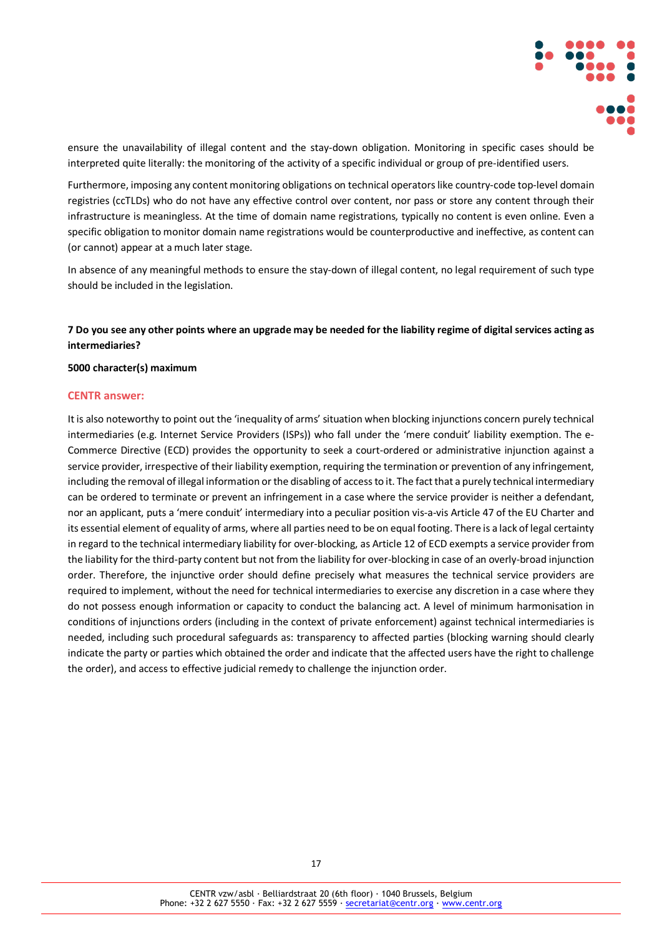

ensure the unavailability of illegal content and the stay-down obligation. Monitoring in specific cases should be interpreted quite literally: the monitoring of the activity of a specific individual or group of pre-identified users.

Furthermore, imposing any content monitoring obligations on technical operators like country-code top-level domain registries (ccTLDs) who do not have any effective control over content, nor pass or store any content through their infrastructure is meaningless. At the time of domain name registrations, typically no content is even online. Even a specific obligation to monitor domain name registrations would be counterproductive and ineffective, as content can (or cannot) appear at a much later stage.

In absence of any meaningful methods to ensure the stay-down of illegal content, no legal requirement of such type should be included in the legislation.

### **7 Do you see any other points where an upgrade may be needed for the liability regime of digital services acting as intermediaries?**

#### **5000 character(s) maximum**

### **CENTR answer:**

It is also noteworthy to point out the 'inequality of arms' situation when blocking injunctions concern purely technical intermediaries (e.g. Internet Service Providers (ISPs)) who fall under the 'mere conduit' liability exemption. The e-Commerce Directive (ECD) provides the opportunity to seek a court-ordered or administrative injunction against a service provider, irrespective of their liability exemption, requiring the termination or prevention of any infringement, including the removal of illegal information or the disabling of access to it. The fact that a purely technical intermediary can be ordered to terminate or prevent an infringement in a case where the service provider is neither a defendant, nor an applicant, puts a 'mere conduit' intermediary into a peculiar position vis-a-vis Article 47 of the EU Charter and its essential element of equality of arms, where all parties need to be on equal footing. There is a lack of legal certainty in regard to the technical intermediary liability for over-blocking, as Article 12 of ECD exempts a service provider from the liability for the third-party content but not from the liability for over-blocking in case of an overly-broad injunction order. Therefore, the injunctive order should define precisely what measures the technical service providers are required to implement, without the need for technical intermediaries to exercise any discretion in a case where they do not possess enough information or capacity to conduct the balancing act. A level of minimum harmonisation in conditions of injunctions orders (including in the context of private enforcement) against technical intermediaries is needed, including such procedural safeguards as: transparency to affected parties (blocking warning should clearly indicate the party or parties which obtained the order and indicate that the affected users have the right to challenge the order), and access to effective judicial remedy to challenge the injunction order.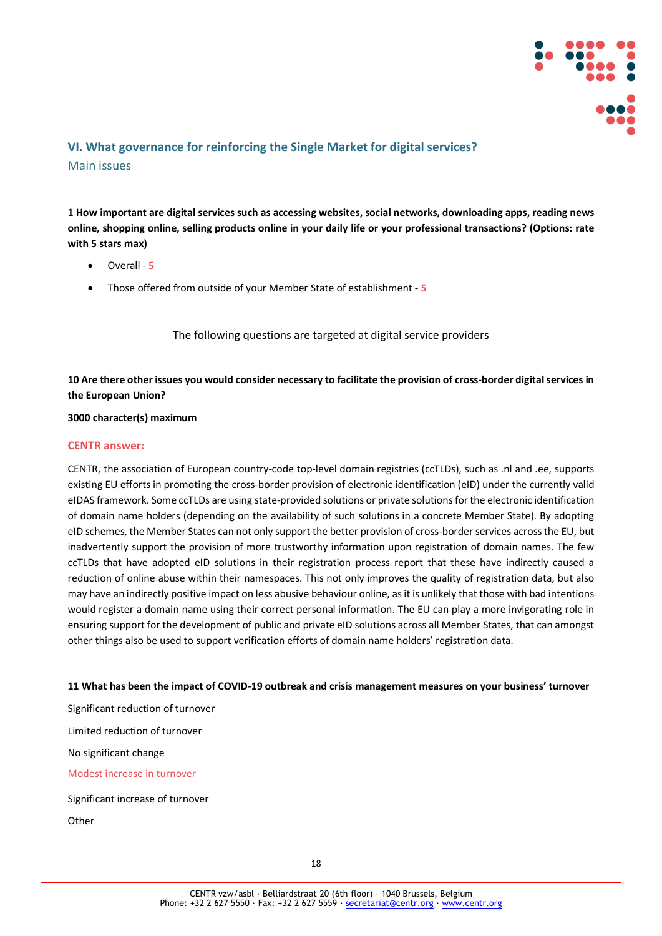

# **VI. What governance for reinforcing the Single Market for digital services?** Main issues

**1 How important are digital services such as accessing websites, social networks, downloading apps, reading news online, shopping online, selling products online in your daily life or your professional transactions? (Options: rate with 5 stars max)**

- Overall **5**
- Those offered from outside of your Member State of establishment **5**

The following questions are targeted at digital service providers

**10 Are there other issues you would consider necessary to facilitate the provision of cross-border digital services in the European Union?**

**3000 character(s) maximum**

### **CENTR answer:**

CENTR, the association of European country-code top-level domain registries (ccTLDs), such as .nl and .ee, supports existing EU efforts in promoting the cross-border provision of electronic identification (eID) under the currently valid eIDAS framework. Some ccTLDs are using state-provided solutions or private solutions for the electronic identification of domain name holders (depending on the availability of such solutions in a concrete Member State). By adopting eID schemes, the Member States can not only support the better provision of cross-border services across the EU, but inadvertently support the provision of more trustworthy information upon registration of domain names. The few ccTLDs that have adopted eID solutions in their registration process report that these have indirectly caused a reduction of online abuse within their namespaces. This not only improves the quality of registration data, but also may have an indirectly positive impact on less abusive behaviour online, as it is unlikely that those with bad intentions would register a domain name using their correct personal information. The EU can play a more invigorating role in ensuring support for the development of public and private eID solutions across all Member States, that can amongst other things also be used to support verification efforts of domain name holders' registration data.

### **11 What has been the impact of COVID-19 outbreak and crisis management measures on your business' turnover**

Significant reduction of turnover Limited reduction of turnover No significant change Modest increase in turnover Significant increase of turnover

**Other**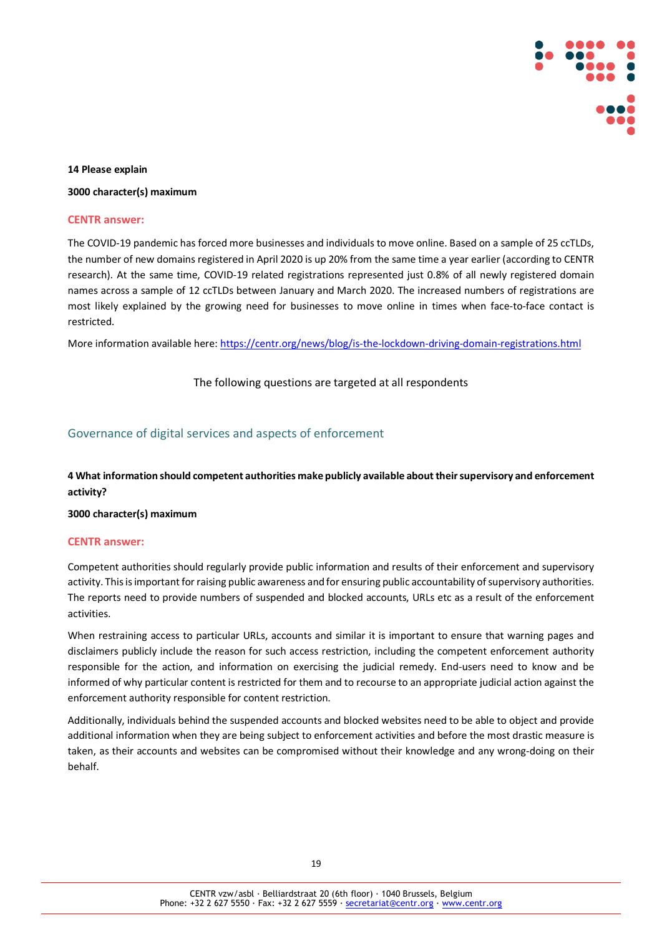

### **14 Please explain**

**3000 character(s) maximum**

#### **CENTR answer:**

The COVID-19 pandemic has forced more businesses and individuals to move online. Based on a sample of 25 ccTLDs, the number of new domains registered in April 2020 is up 20% from the same time a year earlier (according to CENTR research). At the same time, COVID-19 related registrations represented just 0.8% of all newly registered domain names across a sample of 12 ccTLDs between January and March 2020. The increased numbers of registrations are most likely explained by the growing need for businesses to move online in times when face-to-face contact is restricted.

More information available here:<https://centr.org/news/blog/is-the-lockdown-driving-domain-registrations.html>

The following questions are targeted at all respondents

### Governance of digital services and aspects of enforcement

**4 What information should competent authorities make publicly available about their supervisory and enforcement activity?**

### **3000 character(s) maximum**

### **CENTR answer:**

Competent authorities should regularly provide public information and results of their enforcement and supervisory activity. This is important for raising public awareness and for ensuring public accountability of supervisory authorities. The reports need to provide numbers of suspended and blocked accounts, URLs etc as a result of the enforcement activities.

When restraining access to particular URLs, accounts and similar it is important to ensure that warning pages and disclaimers publicly include the reason for such access restriction, including the competent enforcement authority responsible for the action, and information on exercising the judicial remedy. End-users need to know and be informed of why particular content is restricted for them and to recourse to an appropriate judicial action against the enforcement authority responsible for content restriction.

Additionally, individuals behind the suspended accounts and blocked websites need to be able to object and provide additional information when they are being subject to enforcement activities and before the most drastic measure is taken, as their accounts and websites can be compromised without their knowledge and any wrong-doing on their behalf.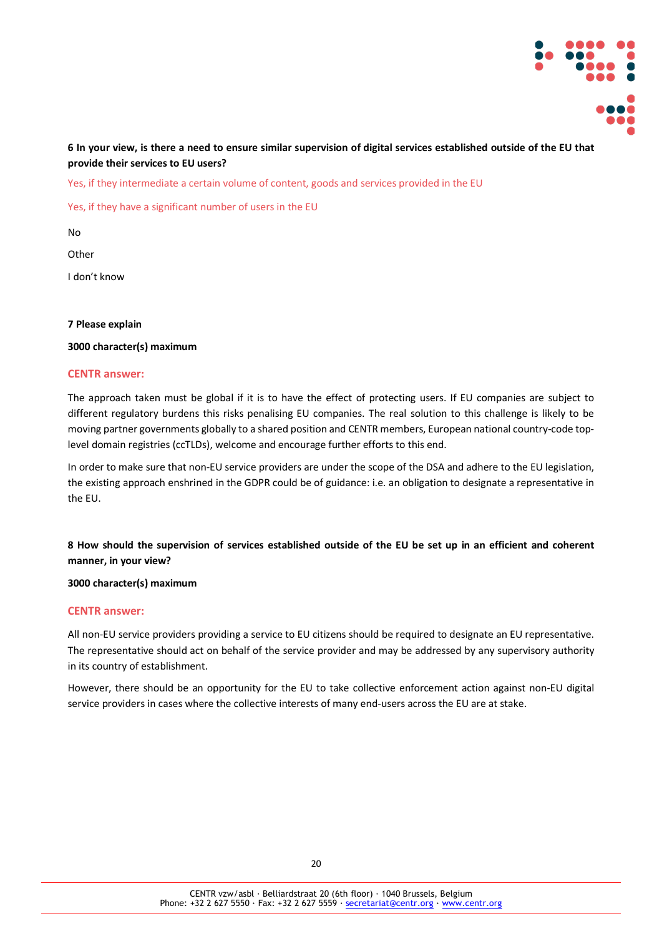

### **6 In your view, is there a need to ensure similar supervision of digital services established outside of the EU that provide their services to EU users?**

Yes, if they intermediate a certain volume of content, goods and services provided in the EU

Yes, if they have a significant number of users in the EU

No

**Other** 

I don't know

### **7 Please explain**

### **3000 character(s) maximum**

### **CENTR answer:**

The approach taken must be global if it is to have the effect of protecting users. If EU companies are subject to different regulatory burdens this risks penalising EU companies. The real solution to this challenge is likely to be moving partner governments globally to a shared position and CENTR members, European national country-code toplevel domain registries (ccTLDs), welcome and encourage further efforts to this end.

In order to make sure that non-EU service providers are under the scope of the DSA and adhere to the EU legislation, the existing approach enshrined in the GDPR could be of guidance: i.e. an obligation to designate a representative in the EU.

**8 How should the supervision of services established outside of the EU be set up in an efficient and coherent manner, in your view?**

### **3000 character(s) maximum**

### **CENTR answer:**

All non-EU service providers providing a service to EU citizens should be required to designate an EU representative. The representative should act on behalf of the service provider and may be addressed by any supervisory authority in its country of establishment.

However, there should be an opportunity for the EU to take collective enforcement action against non-EU digital service providers in cases where the collective interests of many end-users across the EU are at stake.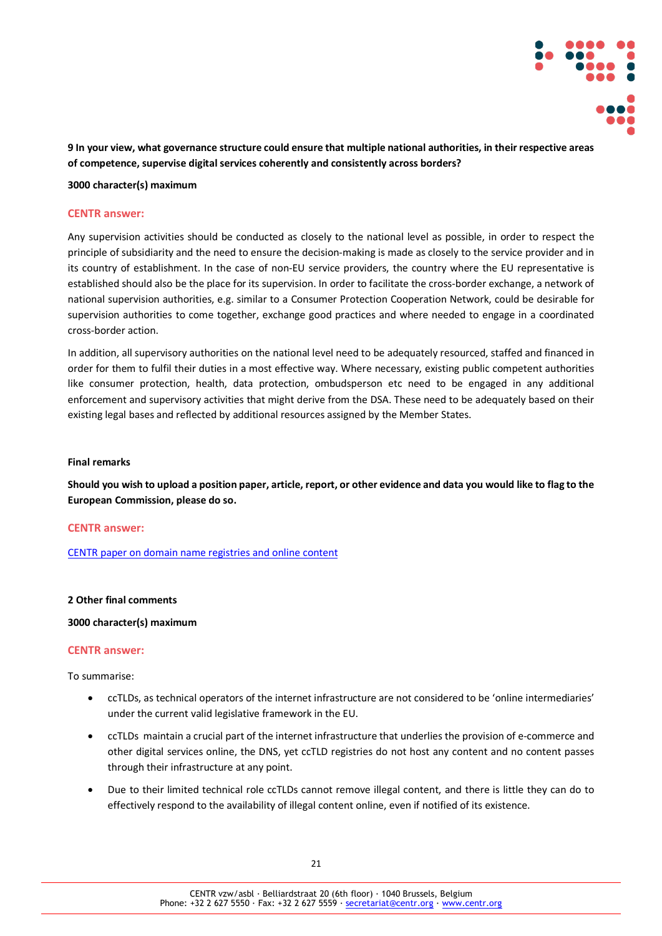

**9 In your view, what governance structure could ensure that multiple national authorities, in their respective areas of competence, supervise digital services coherently and consistently across borders?**

**3000 character(s) maximum**

### **CENTR answer:**

Any supervision activities should be conducted as closely to the national level as possible, in order to respect the principle of subsidiarity and the need to ensure the decision-making is made as closely to the service provider and in its country of establishment. In the case of non-EU service providers, the country where the EU representative is established should also be the place for its supervision. In order to facilitate the cross-border exchange, a network of national supervision authorities, e.g. similar to a Consumer Protection Cooperation Network, could be desirable for supervision authorities to come together, exchange good practices and where needed to engage in a coordinated cross-border action.

In addition, all supervisory authorities on the national level need to be adequately resourced, staffed and financed in order for them to fulfil their duties in a most effective way. Where necessary, existing public competent authorities like consumer protection, health, data protection, ombudsperson etc need to be engaged in any additional enforcement and supervisory activities that might derive from the DSA. These need to be adequately based on their existing legal bases and reflected by additional resources assigned by the Member States.

### **Final remarks**

**Should you wish to upload a position paper, article, report, or other evidence and data you would like to flag to the European Commission, please do so.**

### **CENTR answer:**

[CENTR paper on domain name registries and online content](https://centr.org/library/library/policy-document/domain-name-registries-and-online-content.html)

### **2 Other final comments**

### **3000 character(s) maximum**

### **CENTR answer:**

To summarise:

- ccTLDs, as technical operators of the internet infrastructure are not considered to be 'online intermediaries' under the current valid legislative framework in the EU.
- ccTLDs maintain a crucial part of the internet infrastructure that underlies the provision of e-commerce and other digital services online, the DNS, yet ccTLD registries do not host any content and no content passes through their infrastructure at any point.
- Due to their limited technical role ccTLDs cannot remove illegal content, and there is little they can do to effectively respond to the availability of illegal content online, even if notified of its existence.